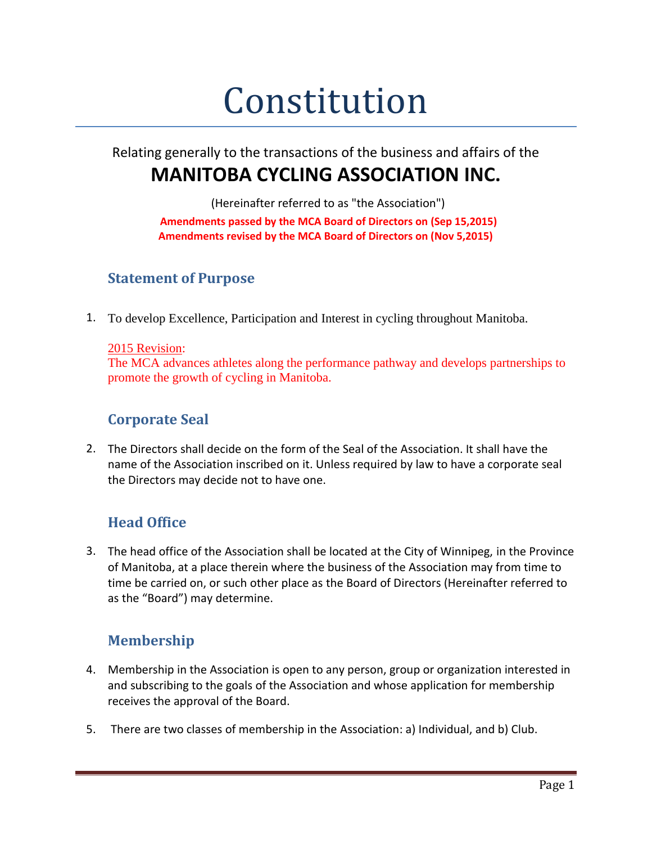# Constitution

# Relating generally to the transactions of the business and affairs of the **MANITOBA CYCLING ASSOCIATION INC.**

(Hereinafter referred to as "the Association")

**Amendments passed by the MCA Board of Directors on (Sep 15,2015) Amendments revised by the MCA Board of Directors on (Nov 5,2015)**

## **Statement of Purpose**

1. To develop Excellence, Participation and Interest in cycling throughout Manitoba.

#### 2015 Revision:

The MCA advances athletes along the performance pathway and develops partnerships to promote the growth of cycling in Manitoba.

## **Corporate Seal**

2. The Directors shall decide on the form of the Seal of the Association. It shall have the name of the Association inscribed on it. Unless required by law to have a corporate seal the Directors may decide not to have one.

# **Head Office**

3. The head office of the Association shall be located at the City of Winnipeg, in the Province of Manitoba, at a place therein where the business of the Association may from time to time be carried on, or such other place as the Board of Directors (Hereinafter referred to as the "Board") may determine.

# **Membership**

- 4. Membership in the Association is open to any person, group or organization interested in and subscribing to the goals of the Association and whose application for membership receives the approval of the Board.
- 5. There are two classes of membership in the Association: a) Individual, and b) Club.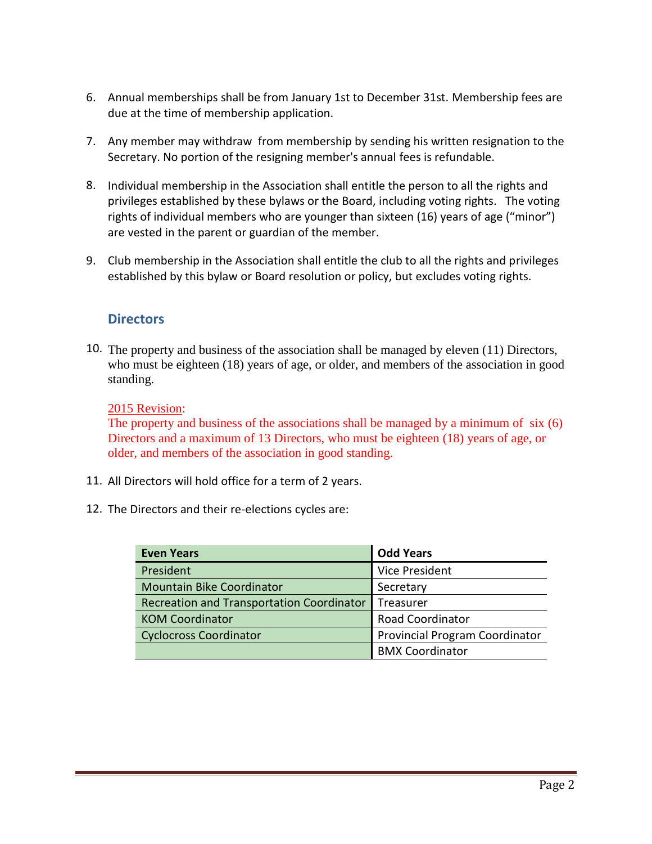- 6. Annual memberships shall be from January 1st to December 31st. Membership fees are due at the time of membership application.
- 7. Any member may withdraw from membership by sending his written resignation to the Secretary. No portion of the resigning member's annual fees is refundable.
- 8. Individual membership in the Association shall entitle the person to all the rights and privileges established by these bylaws or the Board, including voting rights. The voting rights of individual members who are younger than sixteen (16) years of age ("minor") are vested in the parent or guardian of the member.
- 9. Club membership in the Association shall entitle the club to all the rights and privileges established by this bylaw or Board resolution or policy, but excludes voting rights.

#### **Directors**

10. The property and business of the association shall be managed by eleven (11) Directors, who must be eighteen (18) years of age, or older, and members of the association in good standing.

#### 2015 Revision:

The property and business of the associations shall be managed by a minimum of six (6) Directors and a maximum of 13 Directors, who must be eighteen (18) years of age, or older, and members of the association in good standing.

- 11. All Directors will hold office for a term of 2 years.
- 12. The Directors and their re-elections cycles are:

| <b>Even Years</b>                         | <b>Odd Years</b>               |
|-------------------------------------------|--------------------------------|
| President                                 | Vice President                 |
| <b>Mountain Bike Coordinator</b>          | Secretary                      |
| Recreation and Transportation Coordinator | Treasurer                      |
| <b>KOM Coordinator</b>                    | <b>Road Coordinator</b>        |
| <b>Cyclocross Coordinator</b>             | Provincial Program Coordinator |
|                                           | <b>BMX Coordinator</b>         |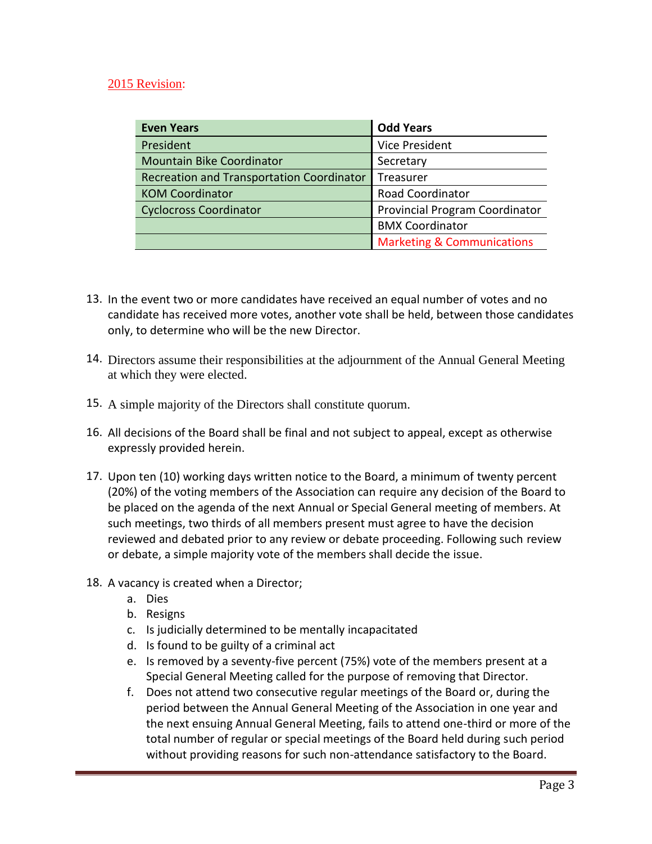#### 2015 Revision:

| <b>Even Years</b>                                | <b>Odd Years</b>                      |
|--------------------------------------------------|---------------------------------------|
| President                                        | <b>Vice President</b>                 |
| <b>Mountain Bike Coordinator</b>                 | Secretary                             |
| <b>Recreation and Transportation Coordinator</b> | Treasurer                             |
| <b>KOM Coordinator</b>                           | Road Coordinator                      |
| <b>Cyclocross Coordinator</b>                    | Provincial Program Coordinator        |
|                                                  | <b>BMX Coordinator</b>                |
|                                                  | <b>Marketing &amp; Communications</b> |

- 13. In the event two or more candidates have received an equal number of votes and no candidate has received more votes, another vote shall be held, between those candidates only, to determine who will be the new Director.
- 14. Directors assume their responsibilities at the adjournment of the Annual General Meeting at which they were elected.
- 15. A simple majority of the Directors shall constitute quorum.
- 16. All decisions of the Board shall be final and not subject to appeal, except as otherwise expressly provided herein.
- 17. Upon ten (10) working days written notice to the Board, a minimum of twenty percent (20%) of the voting members of the Association can require any decision of the Board to be placed on the agenda of the next Annual or Special General meeting of members. At such meetings, two thirds of all members present must agree to have the decision reviewed and debated prior to any review or debate proceeding. Following such review or debate, a simple majority vote of the members shall decide the issue.
- 18. A vacancy is created when a Director;
	- a. Dies
	- b. Resigns
	- c. Is judicially determined to be mentally incapacitated
	- d. Is found to be guilty of a criminal act
	- e. Is removed by a seventy-five percent (75%) vote of the members present at a Special General Meeting called for the purpose of removing that Director.
	- f. Does not attend two consecutive regular meetings of the Board or, during the period between the Annual General Meeting of the Association in one year and the next ensuing Annual General Meeting, fails to attend one-third or more of the total number of regular or special meetings of the Board held during such period without providing reasons for such non-attendance satisfactory to the Board.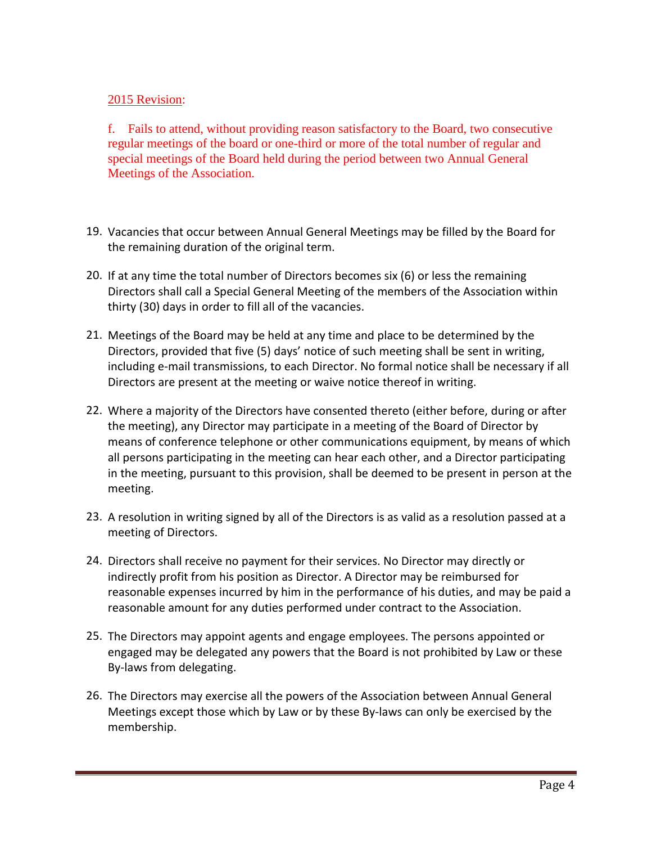#### 2015 Revision:

f. Fails to attend, without providing reason satisfactory to the Board, two consecutive regular meetings of the board or one-third or more of the total number of regular and special meetings of the Board held during the period between two Annual General Meetings of the Association.

- 19. Vacancies that occur between Annual General Meetings may be filled by the Board for the remaining duration of the original term.
- 20. If at any time the total number of Directors becomes six (6) or less the remaining Directors shall call a Special General Meeting of the members of the Association within thirty (30) days in order to fill all of the vacancies.
- 21. Meetings of the Board may be held at any time and place to be determined by the Directors, provided that five (5) days' notice of such meeting shall be sent in writing, including e-mail transmissions, to each Director. No formal notice shall be necessary if all Directors are present at the meeting or waive notice thereof in writing.
- 22. Where a majority of the Directors have consented thereto (either before, during or after the meeting), any Director may participate in a meeting of the Board of Director by means of conference telephone or other communications equipment, by means of which all persons participating in the meeting can hear each other, and a Director participating in the meeting, pursuant to this provision, shall be deemed to be present in person at the meeting.
- 23. A resolution in writing signed by all of the Directors is as valid as a resolution passed at a meeting of Directors.
- 24. Directors shall receive no payment for their services. No Director may directly or indirectly profit from his position as Director. A Director may be reimbursed for reasonable expenses incurred by him in the performance of his duties, and may be paid a reasonable amount for any duties performed under contract to the Association.
- 25. The Directors may appoint agents and engage employees. The persons appointed or engaged may be delegated any powers that the Board is not prohibited by Law or these By-laws from delegating.
- 26. The Directors may exercise all the powers of the Association between Annual General Meetings except those which by Law or by these By-laws can only be exercised by the membership.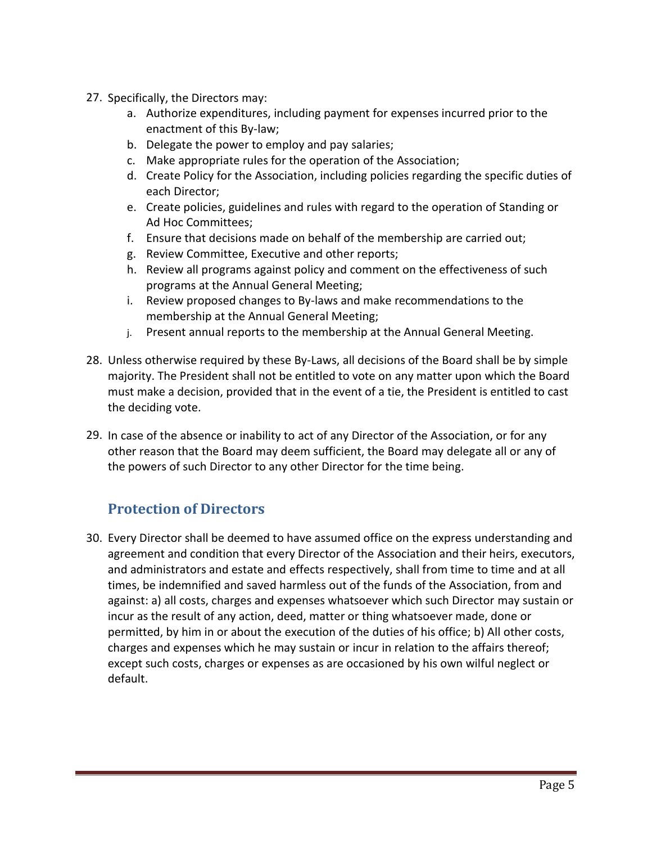- 27. Specifically, the Directors may:
	- a. Authorize expenditures, including payment for expenses incurred prior to the enactment of this By-law;
	- b. Delegate the power to employ and pay salaries;
	- c. Make appropriate rules for the operation of the Association;
	- d. Create Policy for the Association, including policies regarding the specific duties of each Director;
	- e. Create policies, guidelines and rules with regard to the operation of Standing or Ad Hoc Committees;
	- f. Ensure that decisions made on behalf of the membership are carried out;
	- g. Review Committee, Executive and other reports;
	- h. Review all programs against policy and comment on the effectiveness of such programs at the Annual General Meeting;
	- i. Review proposed changes to By-laws and make recommendations to the membership at the Annual General Meeting;
	- j. Present annual reports to the membership at the Annual General Meeting.
- 28. Unless otherwise required by these By-Laws, all decisions of the Board shall be by simple majority. The President shall not be entitled to vote on any matter upon which the Board must make a decision, provided that in the event of a tie, the President is entitled to cast the deciding vote.
- 29. In case of the absence or inability to act of any Director of the Association, or for any other reason that the Board may deem sufficient, the Board may delegate all or any of the powers of such Director to any other Director for the time being.

## **Protection of Directors**

30. Every Director shall be deemed to have assumed office on the express understanding and agreement and condition that every Director of the Association and their heirs, executors, and administrators and estate and effects respectively, shall from time to time and at all times, be indemnified and saved harmless out of the funds of the Association, from and against: a) all costs, charges and expenses whatsoever which such Director may sustain or incur as the result of any action, deed, matter or thing whatsoever made, done or permitted, by him in or about the execution of the duties of his office; b) All other costs, charges and expenses which he may sustain or incur in relation to the affairs thereof; except such costs, charges or expenses as are occasioned by his own wilful neglect or default.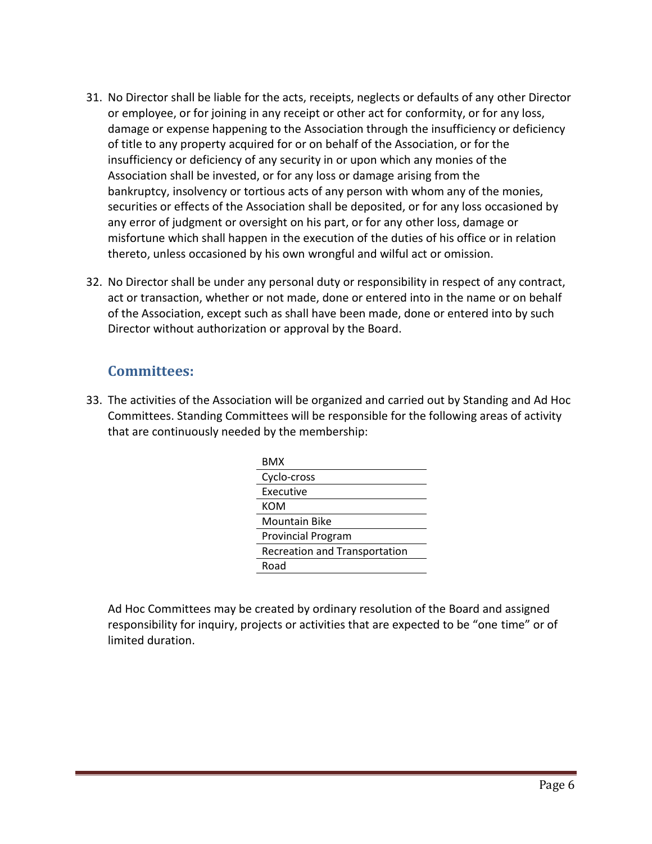- 31. No Director shall be liable for the acts, receipts, neglects or defaults of any other Director or employee, or for joining in any receipt or other act for conformity, or for any loss, damage or expense happening to the Association through the insufficiency or deficiency of title to any property acquired for or on behalf of the Association, or for the insufficiency or deficiency of any security in or upon which any monies of the Association shall be invested, or for any loss or damage arising from the bankruptcy, insolvency or tortious acts of any person with whom any of the monies, securities or effects of the Association shall be deposited, or for any loss occasioned by any error of judgment or oversight on his part, or for any other loss, damage or misfortune which shall happen in the execution of the duties of his office or in relation thereto, unless occasioned by his own wrongful and wilful act or omission.
- 32. No Director shall be under any personal duty or responsibility in respect of any contract, act or transaction, whether or not made, done or entered into in the name or on behalf of the Association, except such as shall have been made, done or entered into by such Director without authorization or approval by the Board.

## **Committees:**

33. The activities of the Association will be organized and carried out by Standing and Ad Hoc Committees. Standing Committees will be responsible for the following areas of activity that are continuously needed by the membership:

| BMX                                  |
|--------------------------------------|
| Cyclo-cross                          |
| Executive                            |
| KOM                                  |
| Mountain Bike                        |
| <b>Provincial Program</b>            |
| <b>Recreation and Transportation</b> |
| Road                                 |

Ad Hoc Committees may be created by ordinary resolution of the Board and assigned responsibility for inquiry, projects or activities that are expected to be "one time" or of limited duration.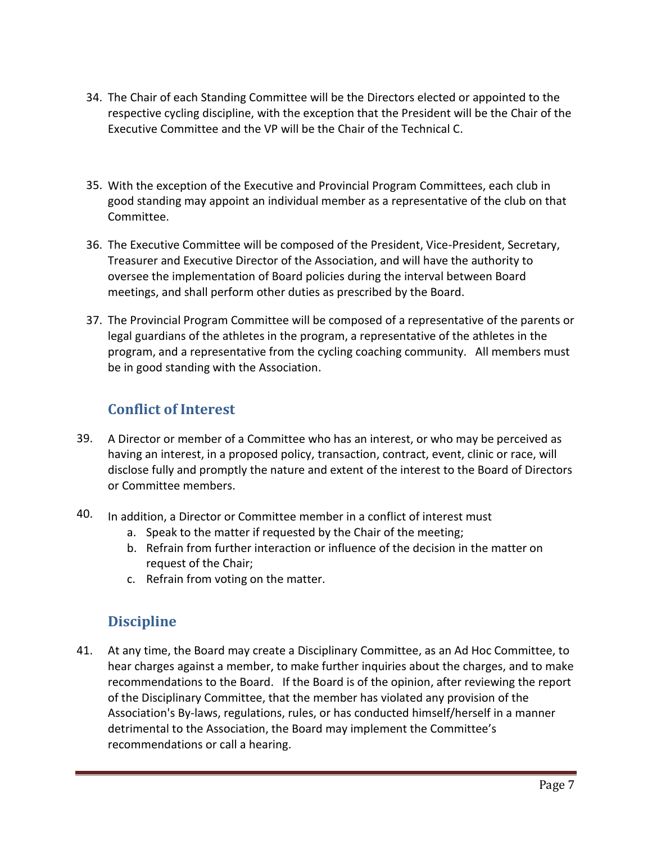- 34. The Chair of each Standing Committee will be the Directors elected or appointed to the respective cycling discipline, with the exception that the President will be the Chair of the Executive Committee and the VP will be the Chair of the Technical C.
- 35. With the exception of the Executive and Provincial Program Committees, each club in good standing may appoint an individual member as a representative of the club on that Committee.
- 36. The Executive Committee will be composed of the President, Vice-President, Secretary, Treasurer and Executive Director of the Association, and will have the authority to oversee the implementation of Board policies during the interval between Board meetings, and shall perform other duties as prescribed by the Board.
- 37. The Provincial Program Committee will be composed of a representative of the parents or legal guardians of the athletes in the program, a representative of the athletes in the program, and a representative from the cycling coaching community. All members must be in good standing with the Association.

# **Conflict of Interest**

- 39. A Director or member of a Committee who has an interest, or who may be perceived as having an interest, in a proposed policy, transaction, contract, event, clinic or race, will disclose fully and promptly the nature and extent of the interest to the Board of Directors or Committee members.
- 40. In addition, a Director or Committee member in a conflict of interest must
	- a. Speak to the matter if requested by the Chair of the meeting;
	- b. Refrain from further interaction or influence of the decision in the matter on request of the Chair;
	- c. Refrain from voting on the matter.

# **Discipline**

41. At any time, the Board may create a Disciplinary Committee, as an Ad Hoc Committee, to hear charges against a member, to make further inquiries about the charges, and to make recommendations to the Board. If the Board is of the opinion, after reviewing the report of the Disciplinary Committee, that the member has violated any provision of the Association's By-laws, regulations, rules, or has conducted himself/herself in a manner detrimental to the Association, the Board may implement the Committee's recommendations or call a hearing.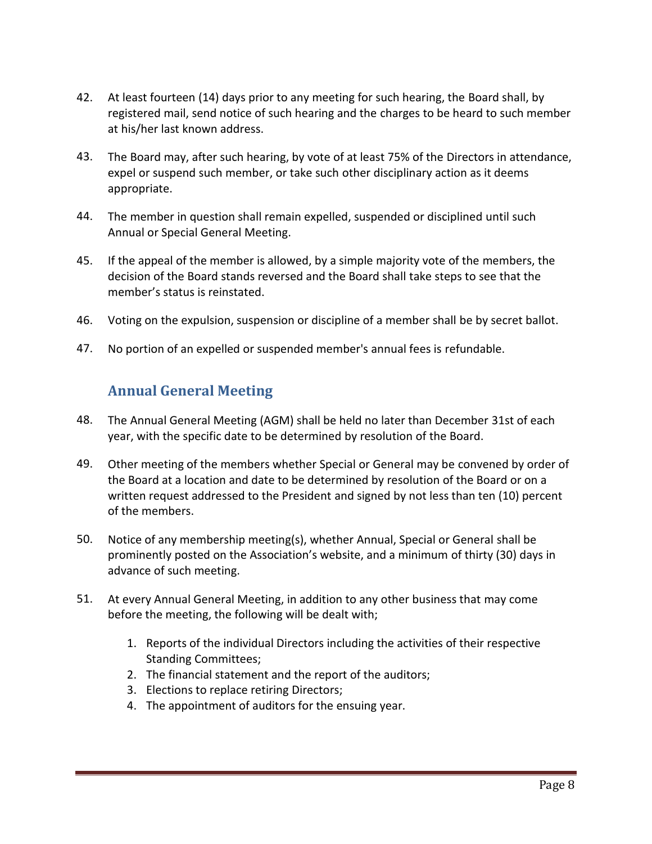- 42. At least fourteen (14) days prior to any meeting for such hearing, the Board shall, by registered mail, send notice of such hearing and the charges to be heard to such member at his/her last known address.
- 43. The Board may, after such hearing, by vote of at least 75% of the Directors in attendance, expel or suspend such member, or take such other disciplinary action as it deems appropriate.
- 44. The member in question shall remain expelled, suspended or disciplined until such Annual or Special General Meeting.
- 45. If the appeal of the member is allowed, by a simple majority vote of the members, the decision of the Board stands reversed and the Board shall take steps to see that the member's status is reinstated.
- 46. Voting on the expulsion, suspension or discipline of a member shall be by secret ballot.
- 47. No portion of an expelled or suspended member's annual fees is refundable.

## **Annual General Meeting**

- 48. The Annual General Meeting (AGM) shall be held no later than December 31st of each year, with the specific date to be determined by resolution of the Board.
- 49. Other meeting of the members whether Special or General may be convened by order of the Board at a location and date to be determined by resolution of the Board or on a written request addressed to the President and signed by not less than ten (10) percent of the members.
- 50. Notice of any membership meeting(s), whether Annual, Special or General shall be prominently posted on the Association's website, and a minimum of thirty (30) days in advance of such meeting.
- 51. At every Annual General Meeting, in addition to any other business that may come before the meeting, the following will be dealt with;
	- 1. Reports of the individual Directors including the activities of their respective Standing Committees;
	- 2. The financial statement and the report of the auditors;
	- 3. Elections to replace retiring Directors;
	- 4. The appointment of auditors for the ensuing year.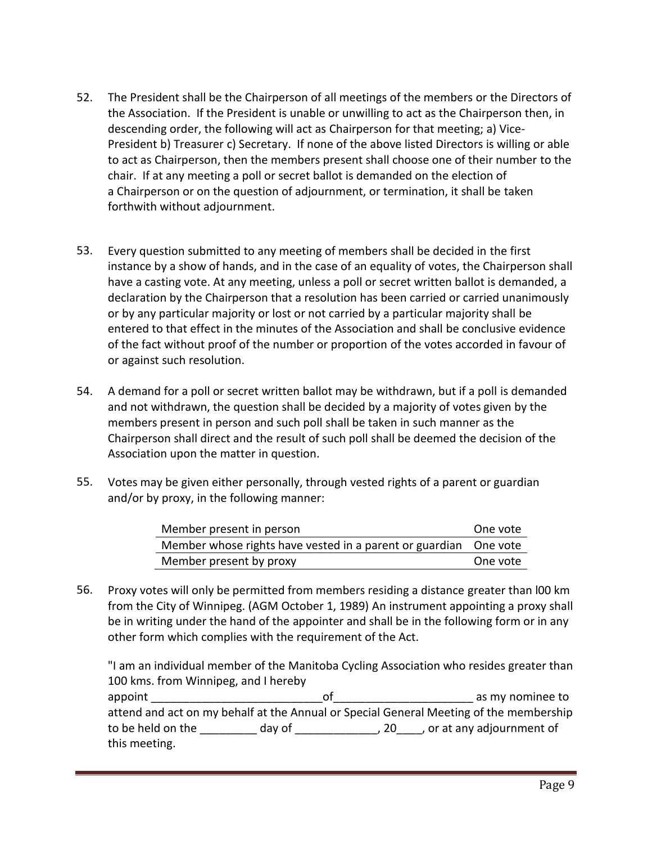- 52. The President shall be the Chairperson of all meetings of the members or the Directors of the Association. If the President is unable or unwilling to act as the Chairperson then, in descending order, the following will act as Chairperson for that meeting; a) Vice-President b) Treasurer c) Secretary. If none of the above listed Directors is willing or able to act as Chairperson, then the members present shall choose one of their number to the chair. If at any meeting a poll or secret ballot is demanded on the election of a Chairperson or on the question of adjournment, or termination, it shall be taken forthwith without adjournment.
- 53. Every question submitted to any meeting of members shall be decided in the first instance by a show of hands, and in the case of an equality of votes, the Chairperson shall have a casting vote. At any meeting, unless a poll or secret written ballot is demanded, a declaration by the Chairperson that a resolution has been carried or carried unanimously or by any particular majority or lost or not carried by a particular majority shall be entered to that effect in the minutes of the Association and shall be conclusive evidence of the fact without proof of the number or proportion of the votes accorded in favour of or against such resolution.
- 54. A demand for a poll or secret written ballot may be withdrawn, but if a poll is demanded and not withdrawn, the question shall be decided by a majority of votes given by the members present in person and such poll shall be taken in such manner as the Chairperson shall direct and the result of such poll shall be deemed the decision of the Association upon the matter in question.
- 55. Votes may be given either personally, through vested rights of a parent or guardian and/or by proxy, in the following manner:

| Member present in person                                         | One vote |
|------------------------------------------------------------------|----------|
| Member whose rights have vested in a parent or guardian One vote |          |
| Member present by proxy                                          | One vote |

56. Proxy votes will only be permitted from members residing a distance greater than l00 km from the City of Winnipeg. (AGM October 1, 1989) An instrument appointing a proxy shall be in writing under the hand of the appointer and shall be in the following form or in any other form which complies with the requirement of the Act.

"I am an individual member of the Manitoba Cycling Association who resides greater than 100 kms. from Winnipeg, and I hereby appoint \_\_\_\_\_\_\_\_\_\_\_\_\_\_\_\_\_\_\_\_\_\_\_\_\_\_\_of\_\_\_\_\_\_\_\_\_\_\_\_\_\_\_\_\_\_\_\_\_\_ as my nominee to attend and act on my behalf at the Annual or Special General Meeting of the membership to be held on the day of the day of the control of the control of the day of the control of the control of the control of the control of the control of the control of the control of the control of the control of the contro this meeting.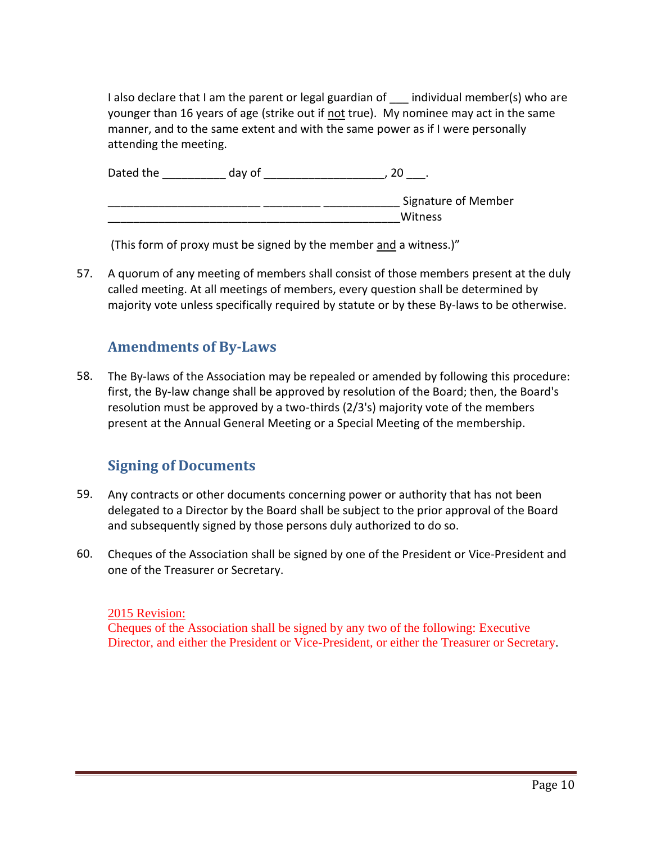I also declare that I am the parent or legal guardian of \_ individual member(s) who are younger than 16 years of age (strike out if not true). My nominee may act in the same manner, and to the same extent and with the same power as if I were personally attending the meeting.

| Dated the | day of | ZU                         |
|-----------|--------|----------------------------|
|           |        | <b>Signature of Member</b> |
|           |        | Witness                    |

(This form of proxy must be signed by the member and a witness.)"

57. A quorum of any meeting of members shall consist of those members present at the duly called meeting. At all meetings of members, every question shall be determined by majority vote unless specifically required by statute or by these By-laws to be otherwise.

# **Amendments of By-Laws**

58. The By-laws of the Association may be repealed or amended by following this procedure: first, the By-law change shall be approved by resolution of the Board; then, the Board's resolution must be approved by a two-thirds (2/3's) majority vote of the members present at the Annual General Meeting or a Special Meeting of the membership.

# **Signing of Documents**

- 59. Any contracts or other documents concerning power or authority that has not been delegated to a Director by the Board shall be subject to the prior approval of the Board and subsequently signed by those persons duly authorized to do so.
- 60. Cheques of the Association shall be signed by one of the President or Vice-President and one of the Treasurer or Secretary.

#### 2015 Revision:

Cheques of the Association shall be signed by any two of the following: Executive Director, and either the President or Vice-President, or either the Treasurer or Secretary.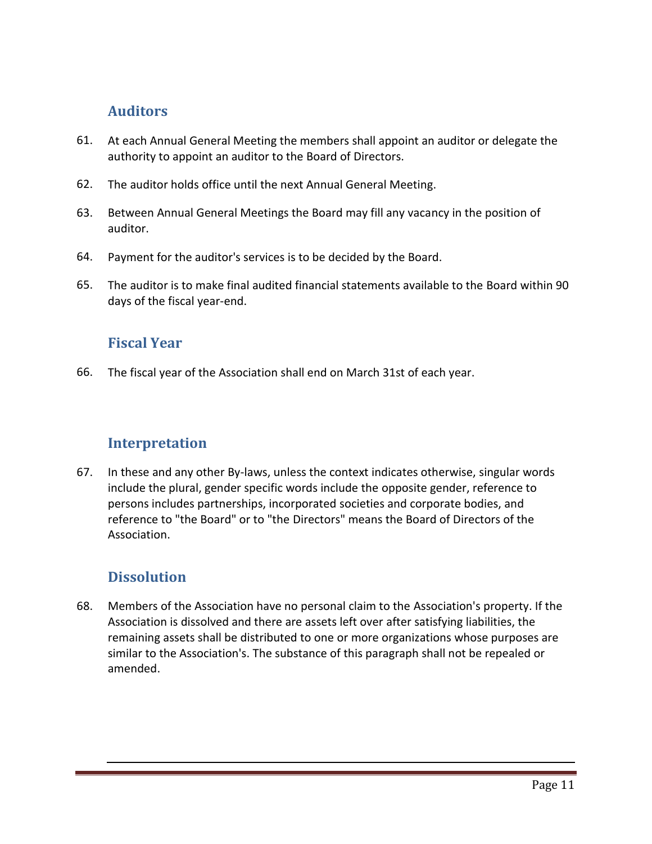#### **Auditors**

- 61. At each Annual General Meeting the members shall appoint an auditor or delegate the authority to appoint an auditor to the Board of Directors.
- 62. The auditor holds office until the next Annual General Meeting.
- 63. Between Annual General Meetings the Board may fill any vacancy in the position of auditor.
- 64. Payment for the auditor's services is to be decided by the Board.
- 65. The auditor is to make final audited financial statements available to the Board within 90 days of the fiscal year-end.

#### **Fiscal Year**

66. The fiscal year of the Association shall end on March 31st of each year.

## **Interpretation**

67. In these and any other By-laws, unless the context indicates otherwise, singular words include the plural, gender specific words include the opposite gender, reference to persons includes partnerships, incorporated societies and corporate bodies, and reference to "the Board" or to "the Directors" means the Board of Directors of the Association.

# **Dissolution**

68. Members of the Association have no personal claim to the Association's property. If the Association is dissolved and there are assets left over after satisfying liabilities, the remaining assets shall be distributed to one or more organizations whose purposes are similar to the Association's. The substance of this paragraph shall not be repealed or amended.